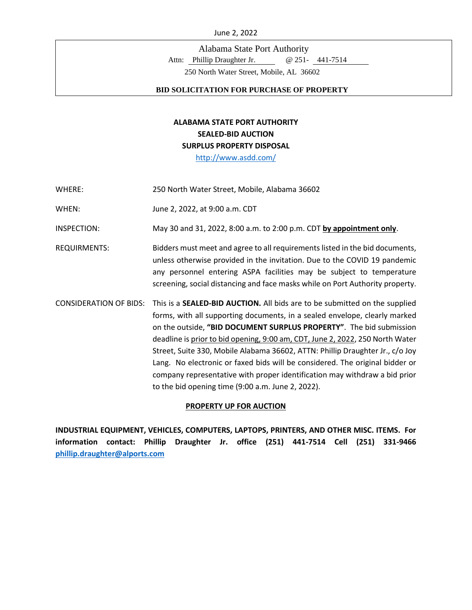Alabama State Port Authority

Attn: Phillip Draughter Jr. @ 251- 441-7514

250 North Water Street, Mobile, AL 36602

#### **BID SOLICITATION FOR PURCHASE OF PROPERTY**

# **ALABAMA STATE PORT AUTHORITY SEALED-BID AUCTION SURPLUS PROPERTY DISPOSAL**

<http://www.asdd.com/>

WHERE: 250 North Water Street, Mobile, Alabama 36602

WHEN: June 2, 2022, at 9:00 a.m. CDT

INSPECTION: May 30 and 31, 2022, 8:00 a.m. to 2:00 p.m. CDT **by appointment only**.

- REQUIRMENTS: Bidders must meet and agree to all requirements listed in the bid documents, unless otherwise provided in the invitation. Due to the COVID 19 pandemic any personnel entering ASPA facilities may be subject to temperature screening, social distancing and face masks while on Port Authority property.
- CONSIDERATION OF BIDS: This is a **SEALED-BID AUCTION.** All bids are to be submitted on the supplied forms, with all supporting documents, in a sealed envelope, clearly marked on the outside, **"BID DOCUMENT SURPLUS PROPERTY"**. The bid submission deadline is prior to bid opening, 9:00 am, CDT, June 2, 2022, 250 North Water Street, Suite 330, Mobile Alabama 36602, ATTN: Phillip Draughter Jr., c/o Joy Lang. No electronic or faxed bids will be considered. The original bidder or company representative with proper identification may withdraw a bid prior to the bid opening time (9:00 a.m. June 2, 2022).

#### **PROPERTY UP FOR AUCTION**

**INDUSTRIAL EQUIPMENT, VEHICLES, COMPUTERS, LAPTOPS, PRINTERS, AND OTHER MISC. ITEMS. For information contact: Phillip Draughter Jr. office (251) 441-7514 Cell (251) 331-9466 [phillip.draughter@alports.com](mailto:phillip.draughter@alports.com)**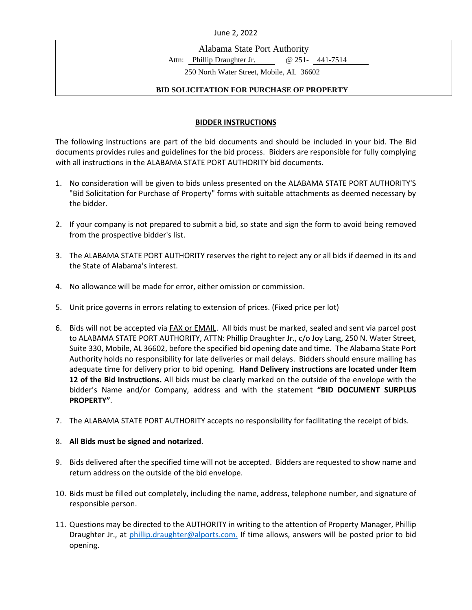Alabama State Port Authority

Attn: Phillip Draughter Jr. @ 251- 441-7514

250 North Water Street, Mobile, AL 36602

#### **BID SOLICITATION FOR PURCHASE OF PROPERTY**

### **BIDDER INSTRUCTIONS**

The following instructions are part of the bid documents and should be included in your bid. The Bid documents provides rules and guidelines for the bid process. Bidders are responsible for fully complying with all instructions in the ALABAMA STATE PORT AUTHORITY bid documents.

- 1. No consideration will be given to bids unless presented on the ALABAMA STATE PORT AUTHORITY'S "Bid Solicitation for Purchase of Property" forms with suitable attachments as deemed necessary by the bidder.
- 2. If your company is not prepared to submit a bid, so state and sign the form to avoid being removed from the prospective bidder's list.
- 3. The ALABAMA STATE PORT AUTHORITY reserves the right to reject any or all bids if deemed in its and the State of Alabama's interest.
- 4. No allowance will be made for error, either omission or commission.
- 5. Unit price governs in errors relating to extension of prices. (Fixed price per lot)
- 6. Bids will not be accepted via FAX or EMAIL. All bids must be marked, sealed and sent via parcel post to ALABAMA STATE PORT AUTHORITY, ATTN: Phillip Draughter Jr., c/o Joy Lang, 250 N. Water Street, Suite 330, Mobile, AL 36602, before the specified bid opening date and time. The Alabama State Port Authority holds no responsibility for late deliveries or mail delays. Bidders should ensure mailing has adequate time for delivery prior to bid opening. **Hand Delivery instructions are located under Item 12 of the Bid Instructions.** All bids must be clearly marked on the outside of the envelope with the bidder's Name and/or Company, address and with the statement **"BID DOCUMENT SURPLUS PROPERTY"**.
- 7. The ALABAMA STATE PORT AUTHORITY accepts no responsibility for facilitating the receipt of bids.

### 8. **All Bids must be signed and notarized**.

- 9. Bids delivered after the specified time will not be accepted. Bidders are requested to show name and return address on the outside of the bid envelope.
- 10. Bids must be filled out completely, including the name, address, telephone number, and signature of responsible person.
- 11. Questions may be directed to the AUTHORITY in writing to the attention of Property Manager, Phillip Draughter Jr., at [phillip.draughter@alports.com.](mailto:phillip.draughter@alports.com) If time allows, answers will be posted prior to bid opening.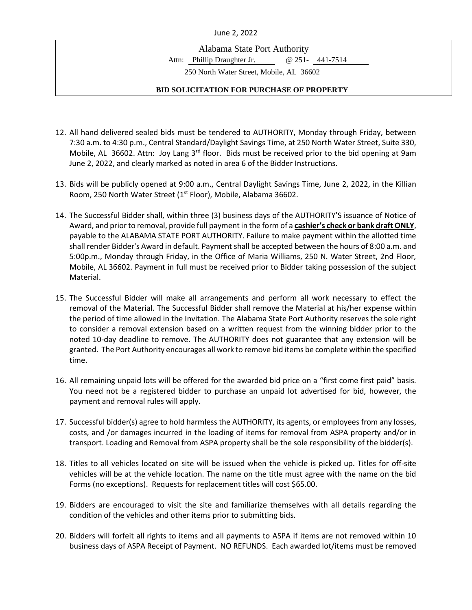Alabama State Port Authority

Attn: Phillip Draughter Jr. @ 251- 441-7514

250 North Water Street, Mobile, AL 36602

- 12. All hand delivered sealed bids must be tendered to AUTHORITY, Monday through Friday, between 7:30 a.m. to 4:30 p.m., Central Standard/Daylight Savings Time, at 250 North Water Street, Suite 330, Mobile, AL 36602. Attn: Joy Lang 3<sup>rd</sup> floor. Bids must be received prior to the bid opening at 9am June 2, 2022, and clearly marked as noted in area 6 of the Bidder Instructions.
- 13. Bids will be publicly opened at 9:00 a.m., Central Daylight Savings Time, June 2, 2022, in the Killian Room, 250 North Water Street (1<sup>st</sup> Floor), Mobile, Alabama 36602.
- 14. The Successful Bidder shall, within three (3) business days of the AUTHORITY'S issuance of Notice of Award, and prior to removal, provide full payment in the form of a **cashier's check or bank draft ONLY**, payable to the ALABAMA STATE PORT AUTHORITY. Failure to make payment within the allotted time shall render Bidder's Award in default. Payment shall be accepted between the hours of 8:00 a.m. and 5:00p.m., Monday through Friday, in the Office of Maria Williams, 250 N. Water Street, 2nd Floor, Mobile, AL 36602. Payment in full must be received prior to Bidder taking possession of the subject Material.
- 15. The Successful Bidder will make all arrangements and perform all work necessary to effect the removal of the Material. The Successful Bidder shall remove the Material at his/her expense within the period of time allowed in the Invitation. The Alabama State Port Authority reserves the sole right to consider a removal extension based on a written request from the winning bidder prior to the noted 10-day deadline to remove. The AUTHORITY does not guarantee that any extension will be granted. The Port Authority encourages all work to remove bid items be complete within the specified time.
- 16. All remaining unpaid lots will be offered for the awarded bid price on a "first come first paid" basis. You need not be a registered bidder to purchase an unpaid lot advertised for bid, however, the payment and removal rules will apply.
- 17. Successful bidder(s) agree to hold harmless the AUTHORITY, its agents, or employees from any losses, costs, and /or damages incurred in the loading of items for removal from ASPA property and/or in transport. Loading and Removal from ASPA property shall be the sole responsibility of the bidder(s).
- 18. Titles to all vehicles located on site will be issued when the vehicle is picked up. Titles for off-site vehicles will be at the vehicle location. The name on the title must agree with the name on the bid Forms (no exceptions). Requests for replacement titles will cost \$65.00.
- 19. Bidders are encouraged to visit the site and familiarize themselves with all details regarding the condition of the vehicles and other items prior to submitting bids.
- 20. Bidders will forfeit all rights to items and all payments to ASPA if items are not removed within 10 business days of ASPA Receipt of Payment. NO REFUNDS. Each awarded lot/items must be removed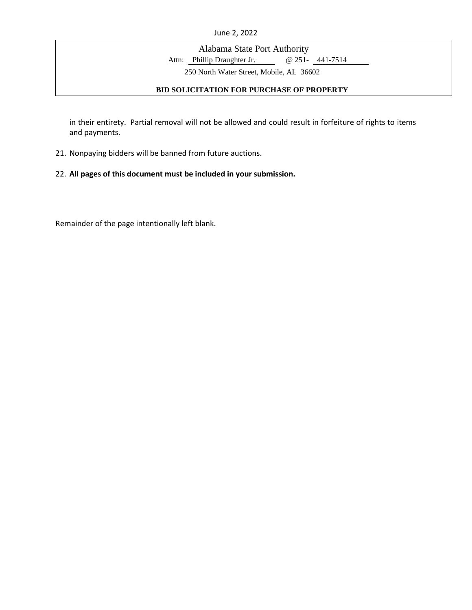Alabama State Port Authority

Attn: Phillip Draughter Jr. @ 251- 441-7514

250 North Water Street, Mobile, AL 36602

### **BID SOLICITATION FOR PURCHASE OF PROPERTY**

in their entirety. Partial removal will not be allowed and could result in forfeiture of rights to items and payments.

21. Nonpaying bidders will be banned from future auctions.

### 22. **All pages of this document must be included in your submission.**

Remainder of the page intentionally left blank.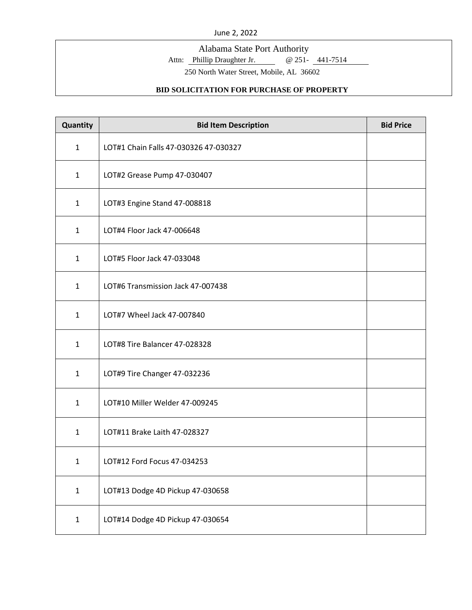Alabama State Port Authority

Attn: Phillip Draughter Jr. @ 251- 441-7514

250 North Water Street, Mobile, AL 36602

| Quantity     | <b>Bid Item Description</b>           | <b>Bid Price</b> |
|--------------|---------------------------------------|------------------|
| $\mathbf{1}$ | LOT#1 Chain Falls 47-030326 47-030327 |                  |
| $\mathbf{1}$ | LOT#2 Grease Pump 47-030407           |                  |
| $\mathbf{1}$ | LOT#3 Engine Stand 47-008818          |                  |
| $\mathbf{1}$ | LOT#4 Floor Jack 47-006648            |                  |
| $\mathbf{1}$ | LOT#5 Floor Jack 47-033048            |                  |
| $\mathbf{1}$ | LOT#6 Transmission Jack 47-007438     |                  |
| $\mathbf{1}$ | LOT#7 Wheel Jack 47-007840            |                  |
| $\mathbf{1}$ | LOT#8 Tire Balancer 47-028328         |                  |
| $\mathbf{1}$ | LOT#9 Tire Changer 47-032236          |                  |
| $\mathbf{1}$ | LOT#10 Miller Welder 47-009245        |                  |
| $\mathbf{1}$ | LOT#11 Brake Laith 47-028327          |                  |
| $\mathbf{1}$ | LOT#12 Ford Focus 47-034253           |                  |
| $\mathbf{1}$ | LOT#13 Dodge 4D Pickup 47-030658      |                  |
| $\mathbf{1}$ | LOT#14 Dodge 4D Pickup 47-030654      |                  |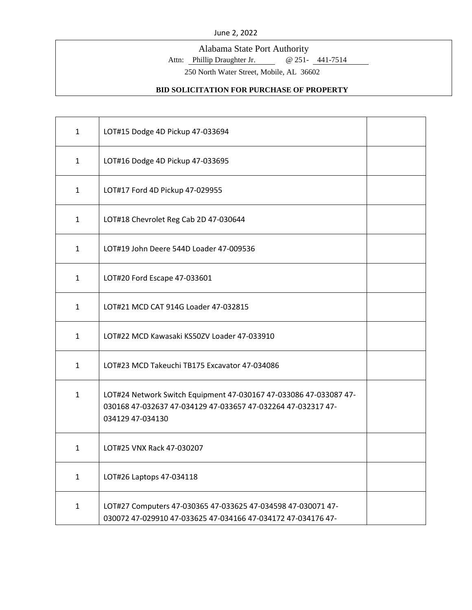Alabama State Port Authority

Attn: Phillip Draughter Jr. @ 251- 441-7514

250 North Water Street, Mobile, AL 36602

| $\mathbf{1}$ | LOT#15 Dodge 4D Pickup 47-033694                                                                                                                      |  |
|--------------|-------------------------------------------------------------------------------------------------------------------------------------------------------|--|
| $\mathbf{1}$ | LOT#16 Dodge 4D Pickup 47-033695                                                                                                                      |  |
| $\mathbf{1}$ | LOT#17 Ford 4D Pickup 47-029955                                                                                                                       |  |
| $\mathbf{1}$ | LOT#18 Chevrolet Reg Cab 2D 47-030644                                                                                                                 |  |
| $\mathbf{1}$ | LOT#19 John Deere 544D Loader 47-009536                                                                                                               |  |
| $\mathbf{1}$ | LOT#20 Ford Escape 47-033601                                                                                                                          |  |
| $\mathbf{1}$ | LOT#21 MCD CAT 914G Loader 47-032815                                                                                                                  |  |
| $\mathbf{1}$ | LOT#22 MCD Kawasaki KS50ZV Loader 47-033910                                                                                                           |  |
| 1            | LOT#23 MCD Takeuchi TB175 Excavator 47-034086                                                                                                         |  |
| $\mathbf{1}$ | LOT#24 Network Switch Equipment 47-030167 47-033086 47-033087 47-<br>030168 47-032637 47-034129 47-033657 47-032264 47-032317 47-<br>034129 47-034130 |  |
| $\mathbf{1}$ | LOT#25 VNX Rack 47-030207                                                                                                                             |  |
| $\mathbf{1}$ | LOT#26 Laptops 47-034118                                                                                                                              |  |
| $\mathbf{1}$ | LOT#27 Computers 47-030365 47-033625 47-034598 47-030071 47-<br>030072 47-029910 47-033625 47-034166 47-034172 47-034176 47-                          |  |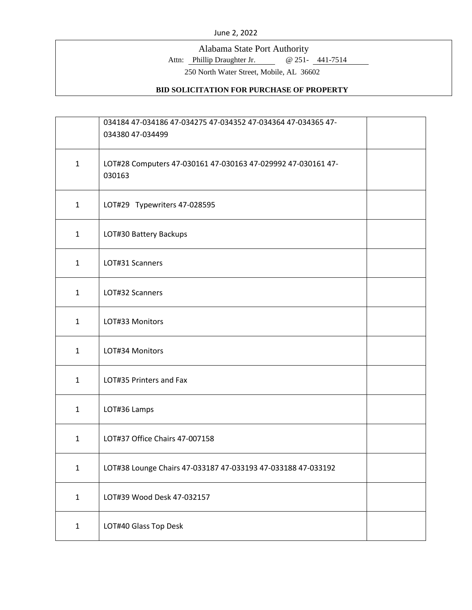Alabama State Port Authority

Attn: Phillip Draughter Jr. @ 251- 441-7514

250 North Water Street, Mobile, AL 36602

|              | 034184 47-034186 47-034275 47-034352 47-034364 47-034365 47-<br>034380 47-034499 |  |
|--------------|----------------------------------------------------------------------------------|--|
| $\mathbf{1}$ | LOT#28 Computers 47-030161 47-030163 47-029992 47-030161 47-<br>030163           |  |
| $\mathbf{1}$ | LOT#29 Typewriters 47-028595                                                     |  |
| $\mathbf{1}$ | LOT#30 Battery Backups                                                           |  |
| $\mathbf{1}$ | LOT#31 Scanners                                                                  |  |
| $\mathbf{1}$ | LOT#32 Scanners                                                                  |  |
| $\mathbf{1}$ | LOT#33 Monitors                                                                  |  |
| $\mathbf{1}$ | LOT#34 Monitors                                                                  |  |
| $\mathbf{1}$ | LOT#35 Printers and Fax                                                          |  |
| $\mathbf{1}$ | LOT#36 Lamps                                                                     |  |
| $\mathbf{1}$ | LOT#37 Office Chairs 47-007158                                                   |  |
| $\mathbf 1$  | LOT#38 Lounge Chairs 47-033187 47-033193 47-033188 47-033192                     |  |
| $\mathbf{1}$ | LOT#39 Wood Desk 47-032157                                                       |  |
| $\mathbf{1}$ | LOT#40 Glass Top Desk                                                            |  |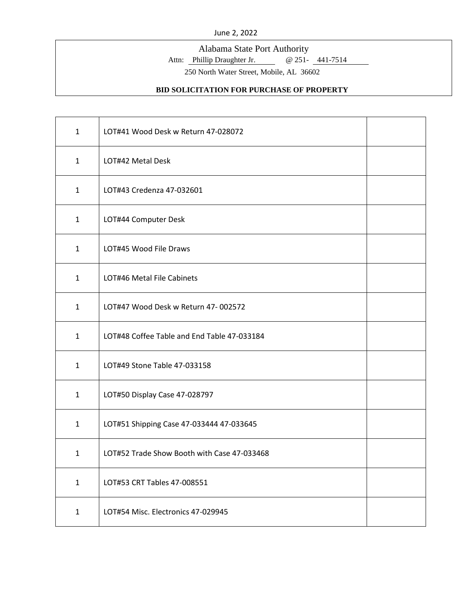Alabama State Port Authority

Attn: Phillip Draughter Jr. @ 251- 441-7514

250 North Water Street, Mobile, AL 36602

| $\mathbf{1}$ | LOT#41 Wood Desk w Return 47-028072         |  |
|--------------|---------------------------------------------|--|
| $\mathbf{1}$ | LOT#42 Metal Desk                           |  |
| $\mathbf{1}$ | LOT#43 Credenza 47-032601                   |  |
| $\mathbf{1}$ | LOT#44 Computer Desk                        |  |
| $\mathbf{1}$ | LOT#45 Wood File Draws                      |  |
| $\mathbf{1}$ | LOT#46 Metal File Cabinets                  |  |
| $\mathbf{1}$ | LOT#47 Wood Desk w Return 47-002572         |  |
| $\mathbf{1}$ | LOT#48 Coffee Table and End Table 47-033184 |  |
| $\mathbf{1}$ | LOT#49 Stone Table 47-033158                |  |
| $\mathbf{1}$ | LOT#50 Display Case 47-028797               |  |
| $\mathbf{1}$ | LOT#51 Shipping Case 47-033444 47-033645    |  |
| $\mathbf{1}$ | LOT#52 Trade Show Booth with Case 47-033468 |  |
| $\mathbf{1}$ | LOT#53 CRT Tables 47-008551                 |  |
| $\mathbf{1}$ | LOT#54 Misc. Electronics 47-029945          |  |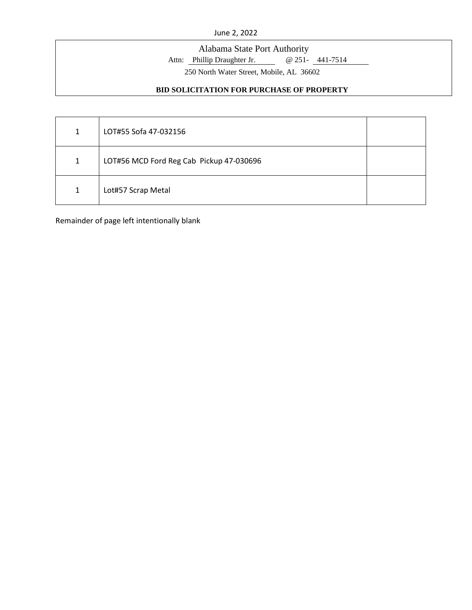# Alabama State Port Authority

Attn: Phillip Draughter Jr. @ 251- 441-7514

250 North Water Street, Mobile, AL 36602

### **BID SOLICITATION FOR PURCHASE OF PROPERTY**

| 1 | LOT#55 Sofa 47-032156                    |  |
|---|------------------------------------------|--|
| 1 | LOT#56 MCD Ford Reg Cab Pickup 47-030696 |  |
| 1 | Lot#57 Scrap Metal                       |  |

Remainder of page left intentionally blank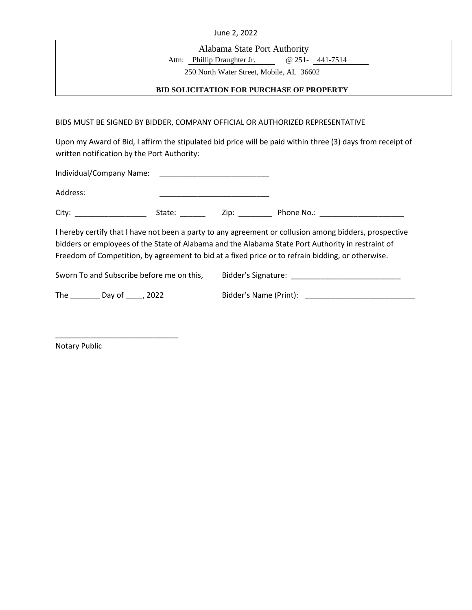Alabama State Port Authority

Attn: Phillip Draughter Jr. @ 251- 441-7514

250 North Water Street, Mobile, AL 36602

### **BID SOLICITATION FOR PURCHASE OF PROPERTY**

BIDS MUST BE SIGNED BY BIDDER, COMPANY OFFICIAL OR AUTHORIZED REPRESENTATIVE

Upon my Award of Bid, I affirm the stipulated bid price will be paid within three (3) days from receipt of written notification by the Port Authority:

| Address:                                                                                                                                                                                                                                                                                                         | <u> 1986 - Johann Harry Harry Harry Harry Harry Harry Harry Harry Harry Harry Harry Harry Harry Harry Harry Harry</u> |  |  |  |  |
|------------------------------------------------------------------------------------------------------------------------------------------------------------------------------------------------------------------------------------------------------------------------------------------------------------------|-----------------------------------------------------------------------------------------------------------------------|--|--|--|--|
|                                                                                                                                                                                                                                                                                                                  |                                                                                                                       |  |  |  |  |
| I hereby certify that I have not been a party to any agreement or collusion among bidders, prospective<br>bidders or employees of the State of Alabama and the Alabama State Port Authority in restraint of<br>Freedom of Competition, by agreement to bid at a fixed price or to refrain bidding, or otherwise. |                                                                                                                       |  |  |  |  |
| Sworn To and Subscribe before me on this,                                                                                                                                                                                                                                                                        |                                                                                                                       |  |  |  |  |
| The ____________ Day of ______, 2022                                                                                                                                                                                                                                                                             |                                                                                                                       |  |  |  |  |
|                                                                                                                                                                                                                                                                                                                  |                                                                                                                       |  |  |  |  |

Notary Public

\_\_\_\_\_\_\_\_\_\_\_\_\_\_\_\_\_\_\_\_\_\_\_\_\_\_\_\_\_